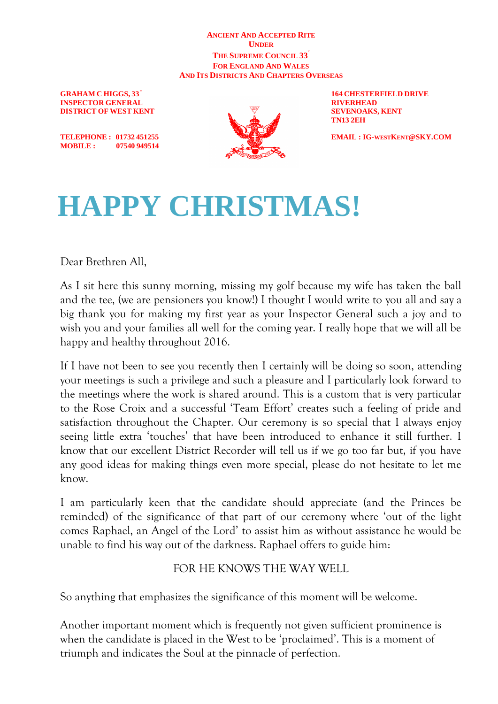**GRAHAM C HIGGS, 33** º **INSPECTOR GENERAL RIVERHEAD DISTRICT OF WEST KENT SEVENOAKS, KENT** 

**MOBILE : 07540 949514**



**164 CHESTERFIELD DRIVE TN13 2EH**

**TELEPHONE :** 01732 451255 **EMAIL : EMAIL : IG-WESTKENT@SKY.COM** 

## **HAPPY CHRISTMAS!**

Dear Brethren All,

As I sit here this sunny morning, missing my golf because my wife has taken the ball and the tee, (we are pensioners you know!) I thought I would write to you all and say a big thank you for making my first year as your Inspector General such a joy and to wish you and your families all well for the coming year. I really hope that we will all be happy and healthy throughout 2016.

If I have not been to see you recently then I certainly will be doing so soon, attending your meetings is such a privilege and such a pleasure and I particularly look forward to the meetings where the work is shared around. This is a custom that is very particular to the Rose Croix and a successful 'Team Effort' creates such a feeling of pride and satisfaction throughout the Chapter. Our ceremony is so special that I always enjoy seeing little extra 'touches' that have been introduced to enhance it still further. I know that our excellent District Recorder will tell us if we go too far but, if you have any good ideas for making things even more special, please do not hesitate to let me know.

I am particularly keen that the candidate should appreciate (and the Princes be reminded) of the significance of that part of our ceremony where 'out of the light comes Raphael, an Angel of the Lord' to assist him as without assistance he would be unable to find his way out of the darkness. Raphael offers to guide him:

## FOR HE KNOWS THE WAY WELL

So anything that emphasizes the significance of this moment will be welcome.

Another important moment which is frequently not given sufficient prominence is when the candidate is placed in the West to be 'proclaimed'. This is a moment of triumph and indicates the Soul at the pinnacle of perfection.